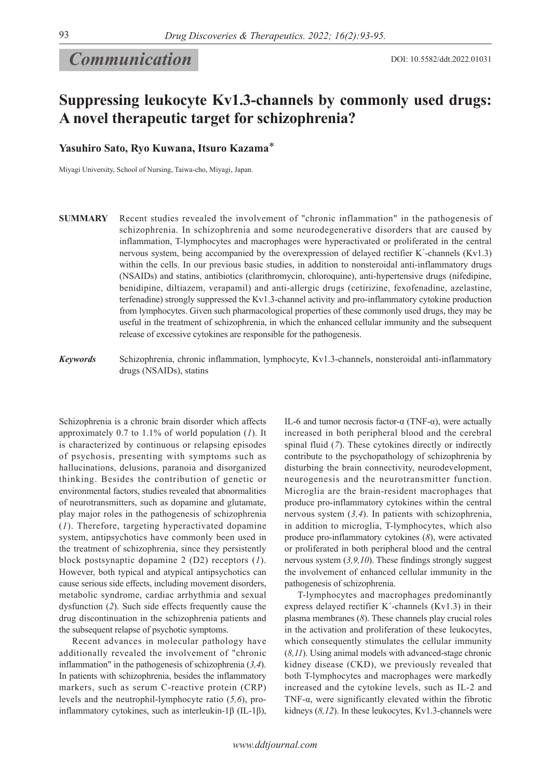# *Communication*

## **Suppressing leukocyte Kv1.3-channels by commonly used drugs: A novel therapeutic target for schizophrenia?**

**Yasuhiro Sato, Ryo Kuwana, Itsuro Kazama**\*

Miyagi University, School of Nursing, Taiwa-cho, Miyagi, Japan.

**SUMMARY** Recent studies revealed the involvement of "chronic inflammation" in the pathogenesis of schizophrenia. In schizophrenia and some neurodegenerative disorders that are caused by inflammation, T-lymphocytes and macrophages were hyperactivated or proliferated in the central nervous system, being accompanied by the overexpression of delayed rectifier  $K^+$ -channels (Kv1.3) within the cells. In our previous basic studies, in addition to nonsteroidal anti-inflammatory drugs (NSAIDs) and statins, antibiotics (clarithromycin, chloroquine), anti-hypertensive drugs (nifedipine, benidipine, diltiazem, verapamil) and anti-allergic drugs (cetirizine, fexofenadine, azelastine, terfenadine) strongly suppressed the Kv1.3-channel activity and pro-inflammatory cytokine production from lymphocytes. Given such pharmacological properties of these commonly used drugs, they may be useful in the treatment of schizophrenia, in which the enhanced cellular immunity and the subsequent release of excessive cytokines are responsible for the pathogenesis.

*Keywords*

Schizophrenia, chronic inflammation, lymphocyte, Kv1.3-channels, nonsteroidal anti-inflammatory drugs (NSAIDs), statins

Schizophrenia is a chronic brain disorder which affects approximately 0.7 to 1.1% of world population (*1*). It is characterized by continuous or relapsing episodes of psychosis, presenting with symptoms such as hallucinations, delusions, paranoia and disorganized thinking. Besides the contribution of genetic or environmental factors, studies revealed that abnormalities of neurotransmitters, such as dopamine and glutamate, play major roles in the pathogenesis of schizophrenia (*1*). Therefore, targeting hyperactivated dopamine system, antipsychotics have commonly been used in the treatment of schizophrenia, since they persistently block postsynaptic dopamine 2 (D2) receptors (*1*). However, both typical and atypical antipsychotics can cause serious side effects, including movement disorders, metabolic syndrome, cardiac arrhythmia and sexual dysfunction (*2*). Such side effects frequently cause the drug discontinuation in the schizophrenia patients and the subsequent relapse of psychotic symptoms.

Recent advances in molecular pathology have additionally revealed the involvement of "chronic inflammation" in the pathogenesis of schizophrenia (*3,4*). In patients with schizophrenia, besides the inflammatory markers, such as serum C-reactive protein (CRP) levels and the neutrophil-lymphocyte ratio (*5,6*), proinflammatory cytokines, such as interleukin-1β (IL-1β), IL-6 and tumor necrosis factor-α (TNF-α), were actually increased in both peripheral blood and the cerebral spinal fluid (*7*). These cytokines directly or indirectly contribute to the psychopathology of schizophrenia by disturbing the brain connectivity, neurodevelopment, neurogenesis and the neurotransmitter function. Microglia are the brain-resident macrophages that produce pro-inflammatory cytokines within the central nervous system (*3,4*). In patients with schizophrenia, in addition to microglia, T-lymphocytes, which also produce pro-inflammatory cytokines (*8*), were activated or proliferated in both peripheral blood and the central nervous system (*3,9,10*). These findings strongly suggest the involvement of enhanced cellular immunity in the pathogenesis of schizophrenia.

T-lymphocytes and macrophages predominantly express delayed rectifier  $K^+$ -channels (Kv1.3) in their plasma membranes (*8*). These channels play crucial roles in the activation and proliferation of these leukocytes, which consequently stimulates the cellular immunity (*8,11*). Using animal models with advanced-stage chronic kidney disease (CKD), we previously revealed that both T-lymphocytes and macrophages were markedly increased and the cytokine levels, such as IL-2 and TNF-α, were significantly elevated within the fibrotic kidneys (*8,12*). In these leukocytes, Kv1.3-channels were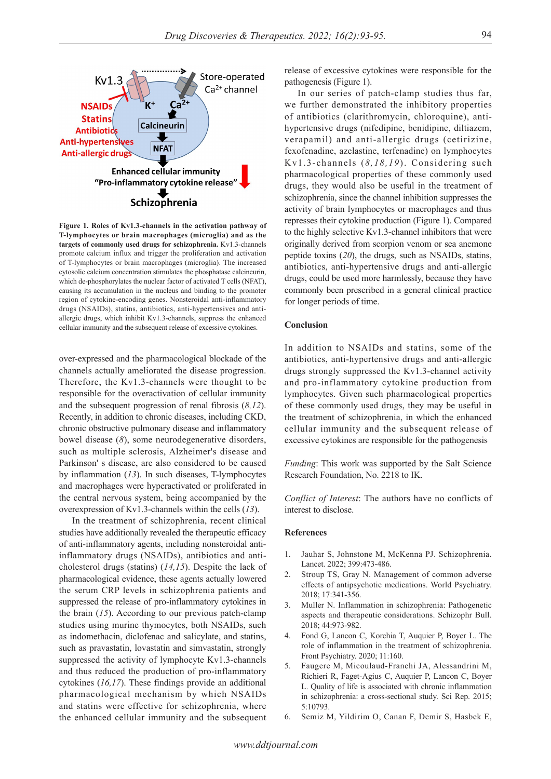

**Figure 1. Roles of Kv1.3-channels in the activation pathway of T-lymphocytes or brain macrophages (microglia) and as the targets of commonly used drugs for schizophrenia.** Kv1.3-channels promote calcium influx and trigger the proliferation and activation of T-lymphocytes or brain macrophages (microglia). The increased cytosolic calcium concentration stimulates the phosphatase calcineurin, which de-phosphorylates the nuclear factor of activated T cells (NFAT), causing its accumulation in the nucleus and binding to the promoter region of cytokine-encoding genes. Nonsteroidal anti-inflammatory drugs (NSAIDs), statins, antibiotics, anti-hypertensives and antiallergic drugs, which inhibit Kv1.3-channels, suppress the enhanced cellular immunity and the subsequent release of excessive cytokines.

over-expressed and the pharmacological blockade of the channels actually ameliorated the disease progression. Therefore, the Kv1.3-channels were thought to be responsible for the overactivation of cellular immunity and the subsequent progression of renal fibrosis (*8,12*). Recently, in addition to chronic diseases, including CKD, chronic obstructive pulmonary disease and inflammatory bowel disease (*8*), some neurodegenerative disorders, such as multiple sclerosis, Alzheimer's disease and Parkinson' s disease, are also considered to be caused by inflammation (*13*). In such diseases, T-lymphocytes and macrophages were hyperactivated or proliferated in the central nervous system, being accompanied by the overexpression of Kv1.3-channels within the cells (*13*).

In the treatment of schizophrenia, recent clinical studies have additionally revealed the therapeutic efficacy of anti-inflammatory agents, including nonsteroidal antiinflammatory drugs (NSAIDs), antibiotics and anticholesterol drugs (statins) (*14,15*). Despite the lack of pharmacological evidence, these agents actually lowered the serum CRP levels in schizophrenia patients and suppressed the release of pro-inflammatory cytokines in the brain (*15*). According to our previous patch-clamp studies using murine thymocytes, both NSAIDs, such as indomethacin, diclofenac and salicylate, and statins, such as pravastatin, lovastatin and simvastatin, strongly suppressed the activity of lymphocyte Kv1.3-channels and thus reduced the production of pro-inflammatory cytokines (*16,17*). These findings provide an additional pharmacological mechanism by which NSAIDs and statins were effective for schizophrenia, where the enhanced cellular immunity and the subsequent

release of excessive cytokines were responsible for the pathogenesis (Figure 1).

In our series of patch-clamp studies thus far, we further demonstrated the inhibitory properties of antibiotics (clarithromycin, chloroquine), antihypertensive drugs (nifedipine, benidipine, diltiazem, verapamil) and anti-allergic drugs (cetirizine, fexofenadine, azelastine, terfenadine) on lymphocytes Kv1.3-channels (*8,18,19*). Considering such pharmacological properties of these commonly used drugs, they would also be useful in the treatment of schizophrenia, since the channel inhibition suppresses the activity of brain lymphocytes or macrophages and thus represses their cytokine production (Figure 1). Compared to the highly selective Kv1.3-channel inhibitors that were originally derived from scorpion venom or sea anemone peptide toxins (*20*), the drugs, such as NSAIDs, statins, antibiotics, anti-hypertensive drugs and anti-allergic drugs, could be used more harmlessly, because they have commonly been prescribed in a general clinical practice for longer periods of time.

### **Conclusion**

In addition to NSAIDs and statins, some of the antibiotics, anti-hypertensive drugs and anti-allergic drugs strongly suppressed the Kv1.3-channel activity and pro-inflammatory cytokine production from lymphocytes. Given such pharmacological properties of these commonly used drugs, they may be useful in the treatment of schizophrenia, in which the enhanced cellular immunity and the subsequent release of excessive cytokines are responsible for the pathogenesis

*Funding*: This work was supported by the Salt Science Research Foundation, No. 2218 to IK.

*Conflict of Interest*: The authors have no conflicts of interest to disclose.

#### **References**

- 1. Jauhar S, Johnstone M, McKenna PJ. Schizophrenia. Lancet. 2022; 399:473-486.
- 2. Stroup TS, Gray N. Management of common adverse effects of antipsychotic medications. World Psychiatry. 2018; 17:341-356.
- 3. Muller N. Inflammation in schizophrenia: Pathogenetic aspects and therapeutic considerations. Schizophr Bull. 2018; 44:973-982.
- 4. Fond G, Lancon C, Korchia T, Auquier P, Boyer L. The role of inflammation in the treatment of schizophrenia. Front Psychiatry. 2020; 11:160.
- 5. Faugere M, Micoulaud-Franchi JA, Alessandrini M, Richieri R, Faget-Agius C, Auquier P, Lancon C, Boyer L. Quality of life is associated with chronic inflammation in schizophrenia: a cross-sectional study. Sci Rep. 2015; 5:10793.
- 6. Semiz M, Yildirim O, Canan F, Demir S, Hasbek E,